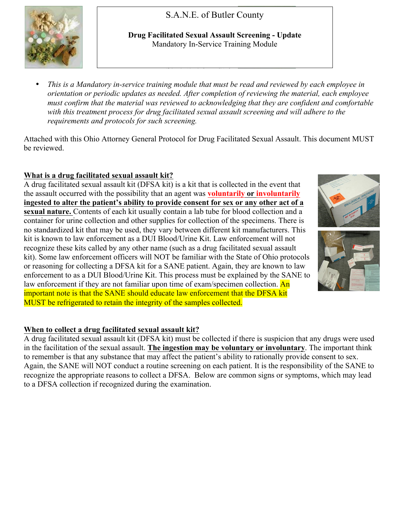S.A.N.E. of Butler County



**Drug Facilitated Sexual Assault Screening - Update** Mandatory In-Service Training Module

• *This is a Mandatory in-service training module that must be read and reviewed by each employee in orientation or periodic updates as needed. After completion of reviewing the material, each employee must confirm that the material was reviewed to acknowledging that they are confident and comfortable with this treatment process for drug facilitated sexual assault screening and will adhere to the requirements and protocols for such screening.*

Attached with this Ohio Attorney General Protocol for Drug Facilitated Sexual Assault. This document MUST be reviewed.

## **What is a drug facilitated sexual assault kit?**

A drug facilitated sexual assault kit (DFSA kit) is a kit that is collected in the event that the assault occurred with the possibility that an agent was **voluntarily or involuntarily ingested to alter the patient's ability to provide consent for sex or any other act of a sexual nature.** Contents of each kit usually contain a lab tube for blood collection and a container for urine collection and other supplies for collection of the specimens. There is no standardized kit that may be used, they vary between different kit manufacturers. This kit is known to law enforcement as a DUI Blood/Urine Kit. Law enforcement will not recognize these kits called by any other name (such as a drug facilitated sexual assault kit). Some law enforcement officers will NOT be familiar with the State of Ohio protocols or reasoning for collecting a DFSA kit for a SANE patient. Again, they are known to law enforcement to as a DUI Blood/Urine Kit. This process must be explained by the SANE to law enforcement if they are not familiar upon time of exam/specimen collection. An important note is that the SANE should educate law enforcement that the DFSA kit MUST be refrigerated to retain the integrity of the samples collected.





## **When to collect a drug facilitated sexual assault kit?**

A drug facilitated sexual assault kit (DFSA kit) must be collected if there is suspicion that any drugs were used in the facilitation of the sexual assault. **The ingestion may be voluntary or involuntary**. The important think to remember is that any substance that may affect the patient's ability to rationally provide consent to sex. Again, the SANE will NOT conduct a routine screening on each patient. It is the responsibility of the SANE to recognize the appropriate reasons to collect a DFSA. Below are common signs or symptoms, which may lead to a DFSA collection if recognized during the examination.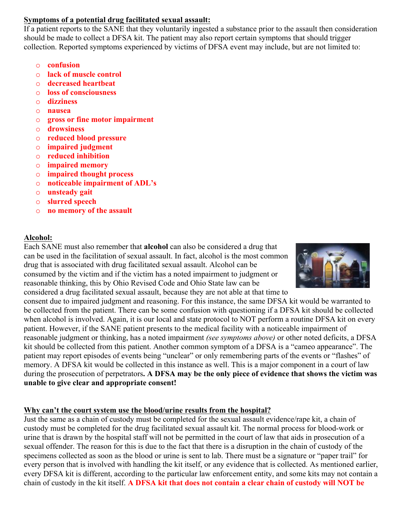## **Symptoms of a potential drug facilitated sexual assault:**

If a patient reports to the SANE that they voluntarily ingested a substance prior to the assault then consideration should be made to collect a DFSA kit. The patient may also report certain symptoms that should trigger collection. Reported symptoms experienced by victims of DFSA event may include, but are not limited to:

- o **confusion**
- o **lack of muscle control**
- o **decreased heartbeat**
- o **loss of consciousness**
- o **dizziness**
- o **nausea**
- o **gross or fine motor impairment**
- o **drowsiness**
- o **reduced blood pressure**
- o **impaired judgment**
- o **reduced inhibition**
- o **impaired memory**
- o **impaired thought process**
- o **noticeable impairment of ADL's**
- o **unsteady gait**
- o **slurred speech**
- o **no memory of the assault**

## **Alcohol:**

Each SANE must also remember that **alcohol** can also be considered a drug that can be used in the facilitation of sexual assault. In fact, alcohol is the most common drug that is associated with drug facilitated sexual assault. Alcohol can be consumed by the victim and if the victim has a noted impairment to judgment or reasonable thinking, this by Ohio Revised Code and Ohio State law can be considered a drug facilitated sexual assault, because they are not able at that time to



consent due to impaired judgment and reasoning. For this instance, the same DFSA kit would be warranted to be collected from the patient. There can be some confusion with questioning if a DFSA kit should be collected when alcohol is involved. Again, it is our local and state protocol to NOT perform a routine DFSA kit on every patient. However, if the SANE patient presents to the medical facility with a noticeable impairment of reasonable judgment or thinking, has a noted impairment *(see symptoms above)* or other noted deficits, a DFSA kit should be collected from this patient. Another common symptom of a DFSA is a "cameo appearance". The patient may report episodes of events being "unclear" or only remembering parts of the events or "flashes" of memory. A DFSA kit would be collected in this instance as well. This is a major component in a court of law during the prosecution of perpetrators**. A DFSA may be the only piece of evidence that shows the victim was unable to give clear and appropriate consent!**

## **Why can't the court system use the blood/urine results from the hospital?**

Just the same as a chain of custody must be completed for the sexual assault evidence/rape kit, a chain of custody must be completed for the drug facilitated sexual assault kit. The normal process for blood-work or urine that is drawn by the hospital staff will not be permitted in the court of law that aids in prosecution of a sexual offender. The reason for this is due to the fact that there is a disruption in the chain of custody of the specimens collected as soon as the blood or urine is sent to lab. There must be a signature or "paper trail" for every person that is involved with handling the kit itself, or any evidence that is collected. As mentioned earlier, every DFSA kit is different, according to the particular law enforcement entity, and some kits may not contain a chain of custody in the kit itself. **A DFSA kit that does not contain a clear chain of custody will NOT be**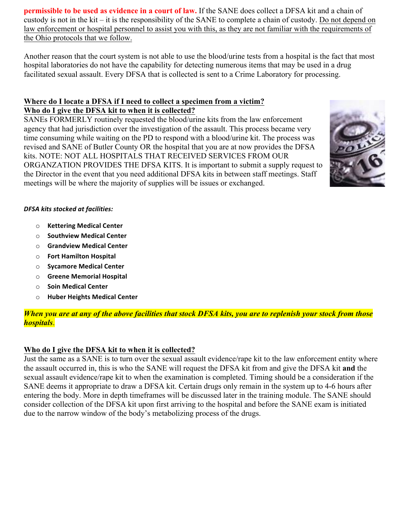**permissible to be used as evidence in a court of law.** If the SANE does collect a DFSA kit and a chain of custody is not in the kit – it is the responsibility of the SANE to complete a chain of custody. Do not depend on law enforcement or hospital personnel to assist you with this, as they are not familiar with the requirements of the Ohio protocols that we follow.

Another reason that the court system is not able to use the blood/urine tests from a hospital is the fact that most hospital laboratories do not have the capability for detecting numerous items that may be used in a drug facilitated sexual assault. Every DFSA that is collected is sent to a Crime Laboratory for processing.

## **Where do I locate a DFSA if I need to collect a specimen from a victim? Who do I give the DFSA kit to when it is collected?**

SANEs FORMERLY routinely requested the blood/urine kits from the law enforcement agency that had jurisdiction over the investigation of the assault. This process became very time consuming while waiting on the PD to respond with a blood/urine kit. The process was revised and SANE of Butler County OR the hospital that you are at now provides the DFSA kits. NOTE: NOT ALL HOSPITALS THAT RECEIVED SERVICES FROM OUR ORGANZATION PROVIDES THE DFSA KITS. It is important to submit a supply request to the Director in the event that you need additional DFSA kits in between staff meetings. Staff meetings will be where the majority of supplies will be issues or exchanged.



#### *DFSA kits stocked at facilities:*

- o **Kettering Medical Center**
- o **Southview Medical Center**
- o **Grandview Medical Center**
- o **Fort Hamilton Hospital**
- o **Sycamore Medical Center**
- o **Greene Memorial Hospital**
- o **Soin Medical Center**
- o **Huber Heights Medical Center**

*When you are at any of the above facilities that stock DFSA kits, you are to replenish your stock from those hospitals*.

## **Who do I give the DFSA kit to when it is collected?**

Just the same as a SANE is to turn over the sexual assault evidence/rape kit to the law enforcement entity where the assault occurred in, this is who the SANE will request the DFSA kit from and give the DFSA kit **and** the sexual assault evidence/rape kit to when the examination is completed. Timing should be a consideration if the SANE deems it appropriate to draw a DFSA kit. Certain drugs only remain in the system up to 4-6 hours after entering the body. More in depth timeframes will be discussed later in the training module. The SANE should consider collection of the DFSA kit upon first arriving to the hospital and before the SANE exam is initiated due to the narrow window of the body's metabolizing process of the drugs.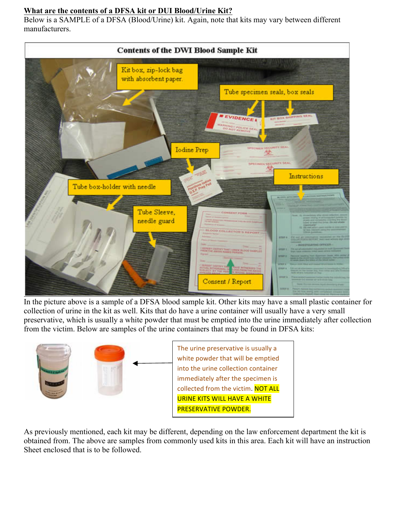## **What are the contents of a DFSA kit or DUI Blood/Urine Kit?**

Below is a SAMPLE of a DFSA (Blood/Urine) kit. Again, note that kits may vary between different manufacturers.



In the picture above is a sample of a DFSA blood sample kit. Other kits may have a small plastic container for collection of urine in the kit as well. Kits that do have a urine container will usually have a very small preservative, which is usually a white powder that must be emptied into the urine immediately after collection from the victim. Below are samples of the urine containers that may be found in DFSA kits:



As previously mentioned, each kit may be different, depending on the law enforcement department the kit is obtained from. The above are samples from commonly used kits in this area. Each kit will have an instruction Sheet enclosed that is to be followed.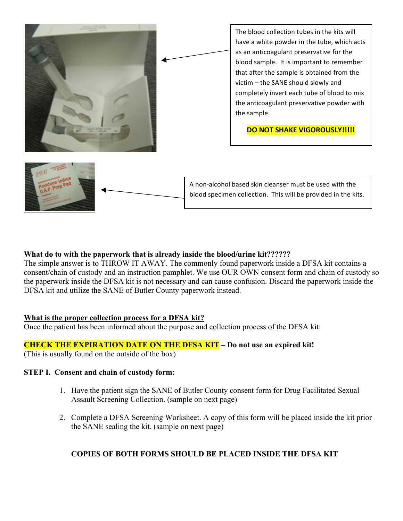

## **What do to with the paperwork that is already inside the blood/urine kit??????**

The simple answer is to THROW IT AWAY. The commonly found paperwork inside a DFSA kit contains a consent/chain of custody and an instruction pamphlet. We use OUR OWN consent form and chain of custody so the paperwork inside the DFSA kit is not necessary and can cause confusion. Discard the paperwork inside the DFSA kit and utilize the SANE of Butler County paperwork instead.

#### **What is the proper collection process for a DFSA kit?**

Once the patient has been informed about the purpose and collection process of the DFSA kit:

## **CHECK THE EXPIRATION DATE ON THE DFSA KIT – Do not use an expired kit!**

(This is usually found on the outside of the box)

#### **STEP I. Consent and chain of custody form:**

- 1. Have the patient sign the SANE of Butler County consent form for Drug Facilitated Sexual Assault Screening Collection. (sample on next page)
- 2. Complete a DFSA Screening Worksheet. A copy of this form will be placed inside the kit prior the SANE sealing the kit. (sample on next page)

## **COPIES OF BOTH FORMS SHOULD BE PLACED INSIDE THE DFSA KIT**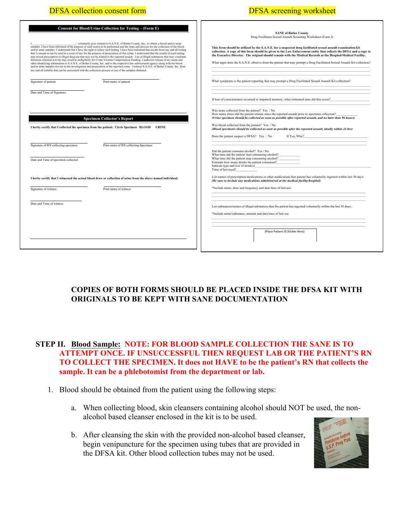| <b>DFSA</b> collection consent form                                                                                                                                                                                                                                                                                                                                                                                                                                                                                                                                                                                                                                                                                                                                                                                                                                                                                                                                                                                                                                                                                                                                                              | <b>DFSA</b> screening worksheet                                                                                                                                                                                                                                                                                                                                                                                                                                                                                                                                                |
|--------------------------------------------------------------------------------------------------------------------------------------------------------------------------------------------------------------------------------------------------------------------------------------------------------------------------------------------------------------------------------------------------------------------------------------------------------------------------------------------------------------------------------------------------------------------------------------------------------------------------------------------------------------------------------------------------------------------------------------------------------------------------------------------------------------------------------------------------------------------------------------------------------------------------------------------------------------------------------------------------------------------------------------------------------------------------------------------------------------------------------------------------------------------------------------------------|--------------------------------------------------------------------------------------------------------------------------------------------------------------------------------------------------------------------------------------------------------------------------------------------------------------------------------------------------------------------------------------------------------------------------------------------------------------------------------------------------------------------------------------------------------------------------------|
| Consent for Blood/Urine Collection for Testing - (Form E)<br>$I_{\text{samples}}$ . I have been informed of the purpose of such test(s) to be performed and the steps and process for the collection of the blood<br>and/or urine samples. I understand that I have the right to refuse such testing. I have been informed that results from any and all testing<br>that I consent to can be used in a court of law for the purpose of prosecution of this crime. I understand that the results of such testing<br>may reveal prescription or illegal drug use that may not be related to the reported assault. Use of illegal substances that may constitute<br>felonious criminal activity may result in ineligibility for Crime Victims Compensation Funding. I authorize release of my name and<br>other identifying information to S.A.N.E. of Butler County, Inc. and to the respective law enforcement agency along with the blood<br>and/or urine samples for use in the investigation and prosecution of the reported crime. I release S.A.N.E. of Butler County, Inc. from<br>any and all liability that can be associated with the collection process or use of the samples obtained. | <b>SANE of Butler County</b><br>Drug Facilitates Sexual Assault Screening Worksheet (Form J)<br>This form should be utilized by the S.A.N.E. for a suspected drug facilitated sexual assault examination/kit<br>collection. A copy of this form should be given to the Law Enforcement entity that collects the DFSA and a copy to<br>the Executive Director. The original should remain with the Medical Records at the Hospital/Medical Facility.<br>What signs does the S.A.N.E. observe from the patient that may prompt a Drug Facilitated Sexual Assault Kit collection? |
| Print name of patient<br>Signature of patient                                                                                                                                                                                                                                                                                                                                                                                                                                                                                                                                                                                                                                                                                                                                                                                                                                                                                                                                                                                                                                                                                                                                                    | What symptoms is the patient reporting that may prompt a Drug Facilitated Sexual Assault Kit collection?                                                                                                                                                                                                                                                                                                                                                                                                                                                                       |
| Date and Time of Signature                                                                                                                                                                                                                                                                                                                                                                                                                                                                                                                                                                                                                                                                                                                                                                                                                                                                                                                                                                                                                                                                                                                                                                       | If loss of consciousness occurred or impaired memory, what estimated time did this occur?<br>Was urine collected from the patient? Yes / No                                                                                                                                                                                                                                                                                                                                                                                                                                    |
| <b>Specimen Collector's Report</b><br>I herby certify that I collected the specimen from the patient: Circle Specimen BLOOD URINE                                                                                                                                                                                                                                                                                                                                                                                                                                                                                                                                                                                                                                                                                                                                                                                                                                                                                                                                                                                                                                                                | How many times did the patient urinate since the reported assault prior to specimen collection?<br>(Urine specimen should be collected as soon as possible after reported assault, and no later than 96 hours)<br>Was blood collected from the patient? Yes / No<br>(Blood specimens should be collected as soon as possible after the reported assault, ideally within 24 hrs)<br>Does the patient suspect a DFSA? Yes / No<br>If Yes, Why?                                                                                                                                   |
| Signature of RN collecting specimen<br>Print name of RN collecting Specimen                                                                                                                                                                                                                                                                                                                                                                                                                                                                                                                                                                                                                                                                                                                                                                                                                                                                                                                                                                                                                                                                                                                      | Did the patient consume alcohol? Yes / No<br>What time did the patient start consuming alcohol?                                                                                                                                                                                                                                                                                                                                                                                                                                                                                |
| Date and Time of specimen collected                                                                                                                                                                                                                                                                                                                                                                                                                                                                                                                                                                                                                                                                                                                                                                                                                                                                                                                                                                                                                                                                                                                                                              | What time did the patient stop consuming alcohol?<br>Estimate how many drinks the patient consumed?<br>Indicate type and size of $drink(s)$<br>Time of last meal?                                                                                                                                                                                                                                                                                                                                                                                                              |
| I herby certify that I witnessed the actual blood draw or collection of urine from the above named individual:                                                                                                                                                                                                                                                                                                                                                                                                                                                                                                                                                                                                                                                                                                                                                                                                                                                                                                                                                                                                                                                                                   | List names of prescription medications or other medications that patient has voluntarily ingested within last 30 days:<br>(Be sure to include any medications administered at the medical facility/hospital)                                                                                                                                                                                                                                                                                                                                                                   |
| Signature of witness<br>Print name of witness                                                                                                                                                                                                                                                                                                                                                                                                                                                                                                                                                                                                                                                                                                                                                                                                                                                                                                                                                                                                                                                                                                                                                    | *Include name, dose and frequency and date/time of last use:                                                                                                                                                                                                                                                                                                                                                                                                                                                                                                                   |
| Date and Time of witness                                                                                                                                                                                                                                                                                                                                                                                                                                                                                                                                                                                                                                                                                                                                                                                                                                                                                                                                                                                                                                                                                                                                                                         | List substances/names of illegal substances that the patient has ingested voluntarily within the last 30 days:<br>*Include name/substance, amount and date/time of last use<br>(Place Patient ID Sticker Here)                                                                                                                                                                                                                                                                                                                                                                 |

## **COPIES OF BOTH FORMS SHOULD BE PLACED INSIDE THE DFSA KIT WITH ORIGINALS TO BE KEPT WITH SANE DOCUMENTATION**

## **STEP II. Blood Sample: NOTE: FOR BLOOD SAMPLE COLLECTION THE SANE IS TO ATTEMPT ONCE. IF UNSUCCESSFUL THEN REQUEST LAB OR THE PATIENT'S RN TO COLLECT THE SPECIMEN. It does not HAVE to be the patient's RN that collects the sample. It can be a phlebotomist from the department or lab.**

- 1. Blood should be obtained from the patient using the following steps:
	- a. When collecting blood, skin cleansers containing alcohol should NOT be used, the nonalcohol based cleanser enclosed in the kit is to be used.
	- b. After cleansing the skin with the provided non-alcohol based cleanser, begin venipuncture for the specimen using tubes that are provided in the DFSA kit. Other blood collection tubes may not be used.

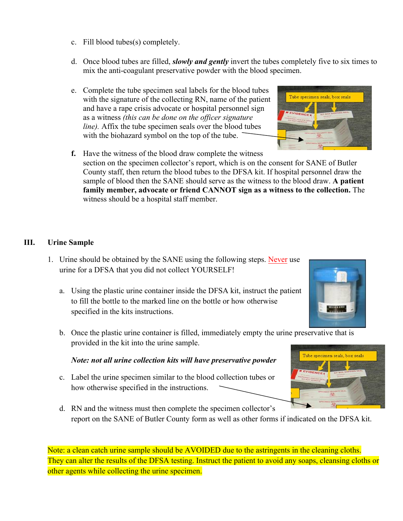- c. Fill blood tubes(s) completely.
- d. Once blood tubes are filled, *slowly and gently* invert the tubes completely five to six times to mix the anti-coagulant preservative powder with the blood specimen.
- e. Complete the tube specimen seal labels for the blood tubes with the signature of the collecting RN, name of the patient and have a rape crisis advocate or hospital personnel sign as a witness *(this can be done on the officer signature line).* Affix the tube specimen seals over the blood tubes with the biohazard symbol on the top of the tube.



## **III. Urine Sample**

- 1. Urine should be obtained by the SANE using the following steps. Never use urine for a DFSA that you did not collect YOURSELF!
	- a. Using the plastic urine container inside the DFSA kit, instruct the patient to fill the bottle to the marked line on the bottle or how otherwise specified in the kits instructions.
	- b. Once the plastic urine container is filled, immediately empty the urine preservative that is provided in the kit into the urine sample.

## *Note: not all urine collection kits will have preservative powder*

- c. Label the urine specimen similar to the blood collection tubes or how otherwise specified in the instructions.
- d. RN and the witness must then complete the specimen collector's report on the SANE of Butler County form as well as other forms if indicated on the DFSA kit.

Note: a clean catch urine sample should be AVOIDED due to the astringents in the cleaning cloths. They can alter the results of the DFSA testing. Instruct the patient to avoid any soaps, cleansing cloths or other agents while collecting the urine specimen.





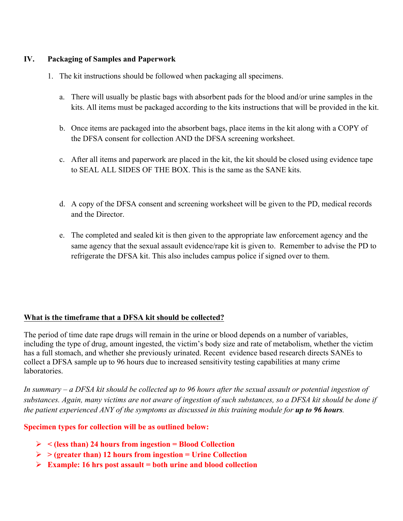## **IV. Packaging of Samples and Paperwork**

- 1. The kit instructions should be followed when packaging all specimens.
	- a. There will usually be plastic bags with absorbent pads for the blood and/or urine samples in the kits. All items must be packaged according to the kits instructions that will be provided in the kit.
	- b. Once items are packaged into the absorbent bags, place items in the kit along with a COPY of the DFSA consent for collection AND the DFSA screening worksheet.
	- c. After all items and paperwork are placed in the kit, the kit should be closed using evidence tape to SEAL ALL SIDES OF THE BOX. This is the same as the SANE kits.
	- d. A copy of the DFSA consent and screening worksheet will be given to the PD, medical records and the Director.
	- e. The completed and sealed kit is then given to the appropriate law enforcement agency and the same agency that the sexual assault evidence/rape kit is given to. Remember to advise the PD to refrigerate the DFSA kit. This also includes campus police if signed over to them.

## **What is the timeframe that a DFSA kit should be collected?**

The period of time date rape drugs will remain in the urine or blood depends on a number of variables, including the type of drug, amount ingested, the victim's body size and rate of metabolism, whether the victim has a full stomach, and whether she previously urinated. Recent evidence based research directs SANEs to collect a DFSA sample up to 96 hours due to increased sensitivity testing capabilities at many crime laboratories.

*In summary – a DFSA kit should be collected up to 96 hours after the sexual assault or potential ingestion of substances. Again, many victims are not aware of ingestion of such substances, so a DFSA kit should be done if the patient experienced ANY of the symptoms as discussed in this training module for <i>up to 96 hours*.

## **Specimen types for collection will be as outlined below:**

- Ø **< (less than) 24 hours from ingestion = Blood Collection**
- Ø **> (greater than) 12 hours from ingestion = Urine Collection**
- Ø **Example: 16 hrs post assault = both urine and blood collection**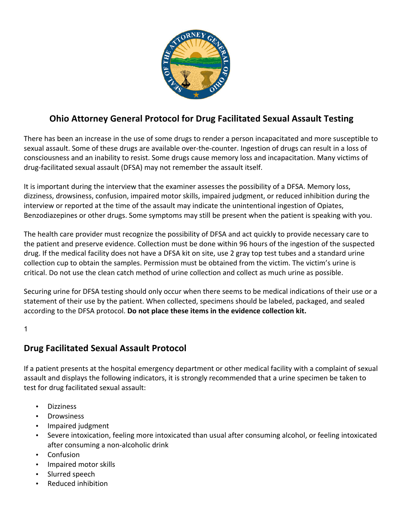

# **Ohio Attorney General Protocol for Drug Facilitated Sexual Assault Testing**

There has been an increase in the use of some drugs to render a person incapacitated and more susceptible to sexual assault. Some of these drugs are available over-the-counter. Ingestion of drugs can result in a loss of consciousness and an inability to resist. Some drugs cause memory loss and incapacitation. Many victims of drug-facilitated sexual assault (DFSA) may not remember the assault itself.

It is important during the interview that the examiner assesses the possibility of a DFSA. Memory loss, dizziness, drowsiness, confusion, impaired motor skills, impaired judgment, or reduced inhibition during the interview or reported at the time of the assault may indicate the unintentional ingestion of Opiates, Benzodiazepines or other drugs. Some symptoms may still be present when the patient is speaking with you.

The health care provider must recognize the possibility of DFSA and act quickly to provide necessary care to the patient and preserve evidence. Collection must be done within 96 hours of the ingestion of the suspected drug. If the medical facility does not have a DFSA kit on site, use 2 gray top test tubes and a standard urine collection cup to obtain the samples. Permission must be obtained from the victim. The victim's urine is critical. Do not use the clean catch method of urine collection and collect as much urine as possible.

Securing urine for DFSA testing should only occur when there seems to be medical indications of their use or a statement of their use by the patient. When collected, specimens should be labeled, packaged, and sealed according to the DFSA protocol. Do not place these items in the evidence collection kit.

1

## **Drug Facilitated Sexual Assault Protocol**

If a patient presents at the hospital emergency department or other medical facility with a complaint of sexual assault and displays the following indicators, it is strongly recommended that a urine specimen be taken to test for drug facilitated sexual assault:

- Dizziness
- Drowsiness
- Impaired judgment
- Severe intoxication, feeling more intoxicated than usual after consuming alcohol, or feeling intoxicated after consuming a non-alcoholic drink
- Confusion
- Impaired motor skills
- Slurred speech
- Reduced inhibition